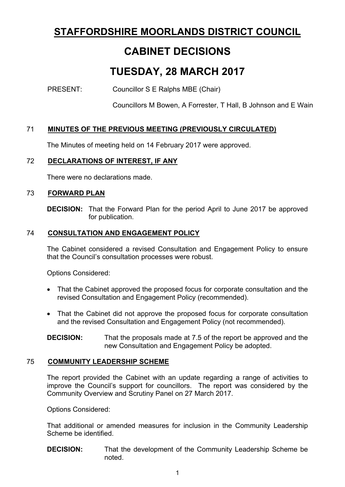# **STAFFORDSHIRE MOORLANDS DISTRICT COUNCIL**

# **CABINET DECISIONS**

# **TUESDAY, 28 MARCH 2017**

PRESENT: Councillor S E Ralphs MBE (Chair)

Councillors M Bowen, A Forrester, T Hall, B Johnson and E Wain

# 71 **MINUTES OF THE PREVIOUS MEETING (PREVIOUSLY CIRCULATED)**

The Minutes of meeting held on 14 February 2017 were approved.

## 72 **DECLARATIONS OF INTEREST, IF ANY**

There were no declarations made.

#### 73 **FORWARD PLAN**

**DECISION:** That the Forward Plan for the period April to June 2017 be approved for publication.

## 74 **CONSULTATION AND ENGAGEMENT POLICY**

The Cabinet considered a revised Consultation and Engagement Policy to ensure that the Council's consultation processes were robust.

Options Considered:

- That the Cabinet approved the proposed focus for corporate consultation and the revised Consultation and Engagement Policy (recommended).
- That the Cabinet did not approve the proposed focus for corporate consultation and the revised Consultation and Engagement Policy (not recommended).

**DECISION:** That the proposals made at 7.5 of the report be approved and the new Consultation and Engagement Policy be adopted.

#### 75 **COMMUNITY LEADERSHIP SCHEME**

The report provided the Cabinet with an update regarding a range of activities to improve the Council's support for councillors. The report was considered by the Community Overview and Scrutiny Panel on 27 March 2017.

Options Considered:

That additional or amended measures for inclusion in the Community Leadership Scheme be identified.

**DECISION:** That the development of the Community Leadership Scheme be noted.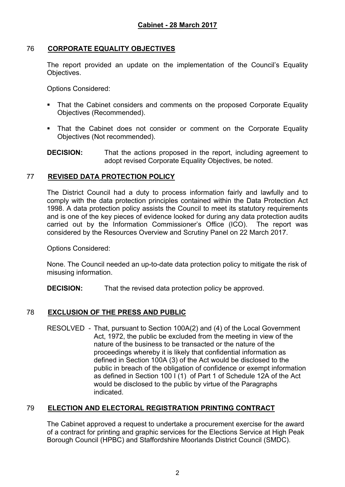## 76 **CORPORATE EQUALITY OBJECTIVES**

The report provided an update on the implementation of the Council's Equality Objectives.

Options Considered:

- That the Cabinet considers and comments on the proposed Corporate Equality Objectives (Recommended).
- That the Cabinet does not consider or comment on the Corporate Equality Objectives (Not recommended).

**DECISION:** That the actions proposed in the report, including agreement to adopt revised Corporate Equality Objectives, be noted.

## 77 **REVISED DATA PROTECTION POLICY**

The District Council had a duty to process information fairly and lawfully and to comply with the data protection principles contained within the Data Protection Act 1998. A data protection policy assists the Council to meet its statutory requirements and is one of the key pieces of evidence looked for during any data protection audits carried out by the Information Commissioner's Office (ICO). The report was considered by the Resources Overview and Scrutiny Panel on 22 March 2017.

Options Considered:

None. The Council needed an up-to-date data protection policy to mitigate the risk of misusing information.

**DECISION:** That the revised data protection policy be approved.

# 78 **EXCLUSION OF THE PRESS AND PUBLIC**

RESOLVED - That, pursuant to Section 100A(2) and (4) of the Local Government Act, 1972, the public be excluded from the meeting in view of the nature of the business to be transacted or the nature of the proceedings whereby it is likely that confidential information as defined in Section 100A (3) of the Act would be disclosed to the public in breach of the obligation of confidence or exempt information as defined in Section 100 I (1) of Part 1 of Schedule 12A of the Act would be disclosed to the public by virtue of the Paragraphs indicated.

# 79 **ELECTION AND ELECTORAL REGISTRATION PRINTING CONTRACT**

The Cabinet approved a request to undertake a procurement exercise for the award of a contract for printing and graphic services for the Elections Service at High Peak Borough Council (HPBC) and Staffordshire Moorlands District Council (SMDC).